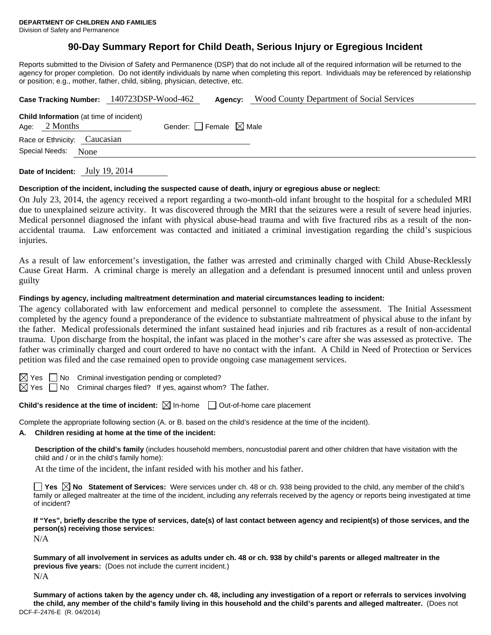# **90-Day Summary Report for Child Death, Serious Injury or Egregious Incident**

Reports submitted to the Division of Safety and Permanence (DSP) that do not include all of the required information will be returned to the agency for proper completion. Do not identify individuals by name when completing this report. Individuals may be referenced by relationship or position; e.g., mother, father, child, sibling, physician, detective, etc.

| Case Tracking Number: 140723DSP-Wood-462 |                 |                                                | Agency:                         | <b>Wood County Department of Social Services</b> |  |  |  |
|------------------------------------------|-----------------|------------------------------------------------|---------------------------------|--------------------------------------------------|--|--|--|
|                                          | Age: $2$ Months | <b>Child Information</b> (at time of incident) | Gender: Female $\boxtimes$ Male |                                                  |  |  |  |
|                                          |                 | Race or Ethnicity: Caucasian                   |                                 |                                                  |  |  |  |
|                                          | Special Needs:  | None                                           |                                 |                                                  |  |  |  |
|                                          |                 |                                                |                                 |                                                  |  |  |  |

**Date of Incident:** July 19, 2014

#### **Description of the incident, including the suspected cause of death, injury or egregious abuse or neglect:**

On July 23, 2014, the agency received a report regarding a two-month-old infant brought to the hospital for a scheduled MRI due to unexplained seizure activity. It was discovered through the MRI that the seizures were a result of severe head injuries. Medical personnel diagnosed the infant with physical abuse-head trauma and with five fractured ribs as a result of the nonaccidental trauma. Law enforcement was contacted and initiated a criminal investigation regarding the child's suspicious injuries.

As a result of law enforcement's investigation, the father was arrested and criminally charged with Child Abuse-Recklessly Cause Great Harm. A criminal charge is merely an allegation and a defendant is presumed innocent until and unless proven guilty

#### **Findings by agency, including maltreatment determination and material circumstances leading to incident:**

The agency collaborated with law enforcement and medical personnel to complete the assessment. The Initial Assessment completed by the agency found a preponderance of the evidence to substantiate maltreatment of physical abuse to the infant by the father. Medical professionals determined the infant sustained head injuries and rib fractures as a result of non-accidental trauma. Upon discharge from the hospital, the infant was placed in the mother's care after she was assessed as protective. The father was criminally charged and court ordered to have no contact with the infant. A Child in Need of Protection or Services petition was filed and the case remained open to provide ongoing case management services.

 $\boxtimes$  Yes  $\Box$  No Criminal investigation pending or completed?

 $\boxtimes$  Yes  $\Box$  No Criminal charges filed? If yes, against whom? The father.

**Child's residence at the time of incident:** ⊠ In-home □ Out-of-home care placement

Complete the appropriate following section (A. or B. based on the child's residence at the time of the incident).

#### **A. Children residing at home at the time of the incident:**

**Description of the child's family** (includes household members, noncustodial parent and other children that have visitation with the child and / or in the child's family home):

At the time of the incident, the infant resided with his mother and his father.

**Yes No Statement of Services:** Were services under ch. 48 or ch. 938 being provided to the child, any member of the child's family or alleged maltreater at the time of the incident, including any referrals received by the agency or reports being investigated at time of incident?

**If "Yes", briefly describe the type of services, date(s) of last contact between agency and recipient(s) of those services, and the person(s) receiving those services:** 

N/A

**Summary of all involvement in services as adults under ch. 48 or ch. 938 by child's parents or alleged maltreater in the previous five years:** (Does not include the current incident.) N/A

DCF-F-2476-E (R. 04/2014) **Summary of actions taken by the agency under ch. 48, including any investigation of a report or referrals to services involving the child, any member of the child's family living in this household and the child's parents and alleged maltreater.** (Does not